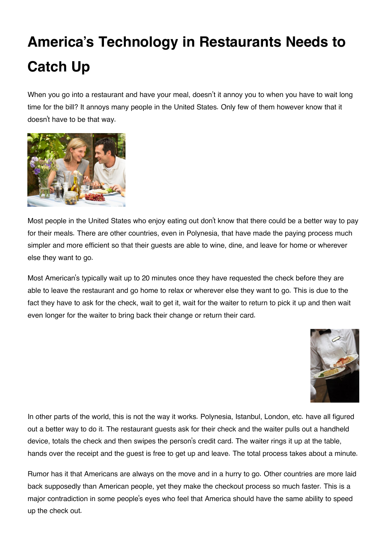## **America's Technology in Restaurants Needs to Catch Up**

When you go into a restaurant and have your meal, doesn't it annoy you to when you have to wait long time for the bill? It annoys many people in the United States. Only few of them however know that it doesn't have to be that way.



Most people in the United States who enjoy eating out don't know that there could be a better way to pay for their meals. There are other countries, even in Polynesia, that have made the paying process much simpler and more efficient so that their guests are able to wine, dine, and leave for home or wherever else they want to go.

Most American's typically wait up to 20 minutes once they have requested the check before they are able to leave the restaurant and go home to relax or wherever else they want to go. This is due to the fact they have to ask for the check, wait to get it, wait for the waiter to return to pick it up and then wait even longer for the waiter to bring back their change or return their card.



In other parts of the world, this is not the way it works. Polynesia, Istanbul, London, etc. have all figured out a better way to do it. The restaurant guests ask for their check and the waiter pulls out a handheld device, totals the check and then swipes the person's credit card. The waiter rings it up at the table, hands over the receipt and the guest is free to get up and leave. The total process takes about a minute.

Rumor has it that Americans are always on the move and in a hurry to go. Other countries are more laid back supposedly than American people, yet they make the checkout process so much faster. This is a major contradiction in some people's eyes who feel that America should have the same ability to speed up the check out.